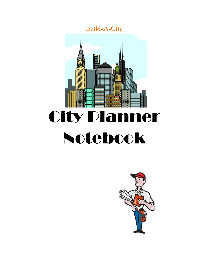

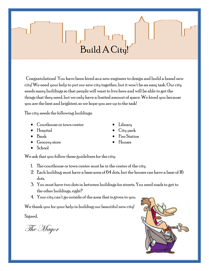### Build A City!

Congratulations! You have been hired as a new engineer to design and build a brand new city! We need your help to put our new city together, but it won't be an easy task. Our city needs many buildings so that people will want to live here and will be able to get the things that they need, but we only have a limited amount of space. We hired you because you are the best and brightest, so we hope you are up to the task!

The city needs the following buildings:

- Courthouse or town center
- Hospital
- $\bullet$  Bank
- Grocery store
- School

We ask that you follow these guidelines for the city:

- 1. The courthouse or town center must be in the center of the city.
- 2. Each building must have a base area of  $64$  dots, but the houses can have a base of  $16$ dots.
- 3. You must have two dots in between buildings for streets. You need roads to get to the other buildings, right?
- 4. Your city can't go outside of the area that is given to you.

We thank you for your help in building our beautiful new city!

Signed,

The Mayor

- Library
- City park
- Fire Station
- Houses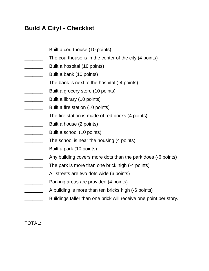### **Build A City! - Checklist**

- **EXECUTE:** Built a courthouse (10 points)
- The courthouse is in the center of the city (4 points)
- **EXECUTE:** Built a hospital (10 points)
- Built a bank (10 points)
- **EXALGE THE SANGE IS NET** The bank is next to the hospital (-4 points)
- **EXALCE ASSEM** Built a grocery store (10 points)
- **EXECUTE:** Built a library (10 points)
- **EXALGE A** Built a fire station (10 points)
- The fire station is made of red bricks (4 points)
- **EXALC** Built a house (2 points)
- **EXALGE ASSESS** Built a school (10 points)
- **EXECUTE:** The school is near the housing (4 points)
- \_\_\_\_\_\_\_ Built a park (10 points)
- Any building covers more dots than the park does (-6 points)
- The park is more than one brick high (-4 points)
- All streets are two dots wide (6 points)
- **EXECUTE:** Parking areas are provided (4 points)
- A building is more than ten bricks high (-6 points)
- Buildings taller than one brick will receive one point per story.

TOTAL:

\_\_\_\_\_\_\_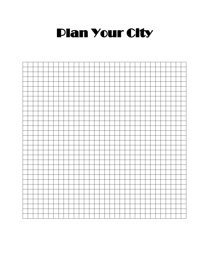## **Plan Your City**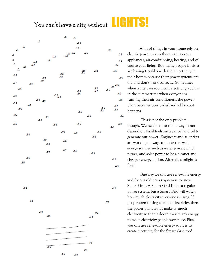# You can't have a city without **LIGHTS!**



A lot of things in your home rely on electric power to run them such as your appliances, air-conditioning, heating, and of course your lights. But, many people in cities are having troubles with their electricity in their homes because their power systems are old and don't work correctly. Sometimes when a city uses too much electricity, such as in the summertime when everyone is running their air conditioners, the power plant becomes overloaded and a blackout happens.

This is not the only problem, though. We need to also find a way to not depend on fossil fuels such as coal and oil to generate our power. Engineers and scientists are working on ways to make renewable energy sources such as water power, wind power, and solar power to be a cleaner and cheaper energy option. After all, sunlight is free!

One way we can use renewable energy and fix our old power system is to use a Smart Grid. A Smart Grid is like a regular power system, but a Smart Grid will watch how much electricity everyone is using. If people aren't using as much electricity, then the power plant won't make as much electricity so that it doesn't waste any energy to make electricity people won't use. Plus, you can use renewable energy sources to create electricity for the Smart Grid too!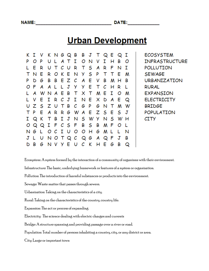DATE:

### **Urban Development**

ĸ. I v KNGQB В J Т Q E Q I I P I В P O O N V н ο C R S A Ε R υ т т R F N I U S E P т N Е R O ĸ N У т т E M с E P D G В В Е z A ۷ В M н В J Ε P A L У У т с н R L O Α A w Ε В т т M Е I M N A x O ٧ E Ι J I E R с N x D E Q A C z s z т В G U G P M w N Т P E E z S E S J т A R R G w A S y Q K Ι J N W S I т В N н w S Ι. P C S F В В P Q M ο L O Q Ι O G G с U O н M L L N N. L O C G A F В N Q J J υ O Т Q Q G C В D В N v У Е υ ĸ н Е G Q

**ECOSYSTEM INFRASTRUCTURE** POLLUTION SEWAGE URBANIZATION **RURAL** EXPANSION **ELECTRICITY BRIDGE** POPULATION CITY

Ecosystem: A system formed by the interaction of a community of organisms with their environment.

Infrastructure: The basic, underlying framework or features of a system or organization.

Pollution: The introduction of harmful substances or products into the environment.

Sewage: Waste matter that passes through sewers.

Urbanization: Taking on the characteristics of a city.

Rural: Taking on the characteristics of the country, country life.

Expansion: The act or process of expanding

Electricity: The science dealing with electric charges and currents

Bridge: A structure spanning and providing passage over a river or road.

Population: Total number of persons inhabiting a country, city, or any district or area.

City: Large or important town